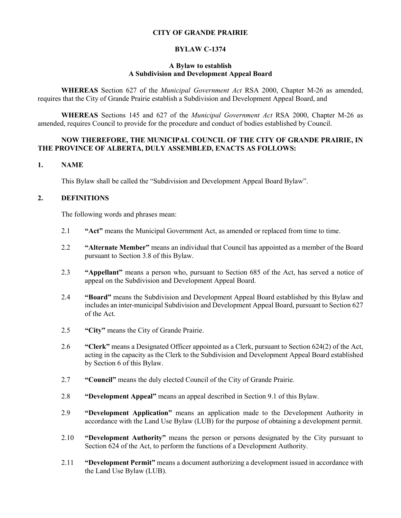## **CITY OF GRANDE PRAIRIE**

### **BYLAW C-1374**

### **A Bylaw to establish A Subdivision and Development Appeal Board**

**WHEREAS** Section 627 of the *Municipal Government Act* RSA 2000, Chapter M-26 as amended, requires that the City of Grande Prairie establish a Subdivision and Development Appeal Board, and

**WHEREAS** Sections 145 and 627 of the *Municipal Government Act* RSA 2000, Chapter M-26 as amended, requires Council to provide for the procedure and conduct of bodies established by Council.

### **NOW THEREFORE, THE MUNICIPAL COUNCIL OF THE CITY OF GRANDE PRAIRIE, IN THE PROVINCE OF ALBERTA, DULY ASSEMBLED, ENACTS AS FOLLOWS:**

### **1. NAME**

This Bylaw shall be called the "Subdivision and Development Appeal Board Bylaw".

## **2. DEFINITIONS**

The following words and phrases mean:

- 2.1 **"Act"** means the Municipal Government Act, as amended or replaced from time to time.
- 2.2 **"Alternate Member"** means an individual that Council has appointed as a member of the Board pursuant to Section 3.8 of this Bylaw.
- 2.3 **"Appellant"** means a person who, pursuant to Section 685 of the Act, has served a notice of appeal on the Subdivision and Development Appeal Board.
- 2.4 **"Board"** means the Subdivision and Development Appeal Board established by this Bylaw and includes an inter-municipal Subdivision and Development Appeal Board, pursuant to Section 627 of the Act.
- 2.5 **"City"** means the City of Grande Prairie.
- 2.6 **"Clerk"** means a Designated Officer appointed as a Clerk, pursuant to Section 624(2) of the Act, acting in the capacity as the Clerk to the Subdivision and Development Appeal Board established by Section 6 of this Bylaw.
- 2.7 **"Council"** means the duly elected Council of the City of Grande Prairie.
- 2.8 **"Development Appeal"** means an appeal described in Section 9.1 of this Bylaw.
- 2.9 **"Development Application"** means an application made to the Development Authority in accordance with the Land Use Bylaw (LUB) for the purpose of obtaining a development permit.
- 2.10 **"Development Authority"** means the person or persons designated by the City pursuant to Section 624 of the Act, to perform the functions of a Development Authority.
- 2.11 **"Development Permit"** means a document authorizing a development issued in accordance with the Land Use Bylaw (LUB).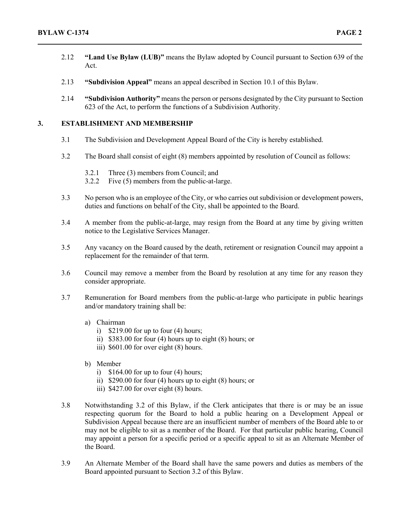- 2.12 **"Land Use Bylaw (LUB)"** means the Bylaw adopted by Council pursuant to Section 639 of the Act.
- 2.13 **"Subdivision Appeal"** means an appeal described in Section 10.1 of this Bylaw.
- 2.14 **"Subdivision Authority"** means the person or persons designated by the City pursuant to Section 623 of the Act, to perform the functions of a Subdivision Authority.

## **3. ESTABLISHMENT AND MEMBERSHIP**

- 3.1 The Subdivision and Development Appeal Board of the City is hereby established.
- 3.2 The Board shall consist of eight (8) members appointed by resolution of Council as follows:
	- 3.2.1 Three (3) members from Council; and
	- 3.2.2 Five (5) members from the public-at-large.
- 3.3 No person who is an employee of the City, or who carries out subdivision or development powers, duties and functions on behalf of the City, shall be appointed to the Board.
- 3.4 A member from the public-at-large, may resign from the Board at any time by giving written notice to the Legislative Services Manager.
- 3.5 Any vacancy on the Board caused by the death, retirement or resignation Council may appoint a replacement for the remainder of that term.
- 3.6 Council may remove a member from the Board by resolution at any time for any reason they consider appropriate.
- 3.7 Remuneration for Board members from the public-at-large who participate in public hearings and/or mandatory training shall be:
	- a) Chairman
		- i)  $$219.00$  for up to four (4) hours;
		- ii) \$383.00 for four (4) hours up to eight (8) hours; or
		- iii) \$601.00 for over eight (8) hours.
	- b) Member
		- i)  $$164.00$  for up to four (4) hours;
		- ii) \$290.00 for four (4) hours up to eight (8) hours; or
		- iii) \$427.00 for over eight (8) hours.
- 3.8 Notwithstanding 3.2 of this Bylaw, if the Clerk anticipates that there is or may be an issue respecting quorum for the Board to hold a public hearing on a Development Appeal or Subdivision Appeal because there are an insufficient number of members of the Board able to or may not be eligible to sit as a member of the Board. For that particular public hearing, Council may appoint a person for a specific period or a specific appeal to sit as an Alternate Member of the Board.
- 3.9 An Alternate Member of the Board shall have the same powers and duties as members of the Board appointed pursuant to Section 3.2 of this Bylaw.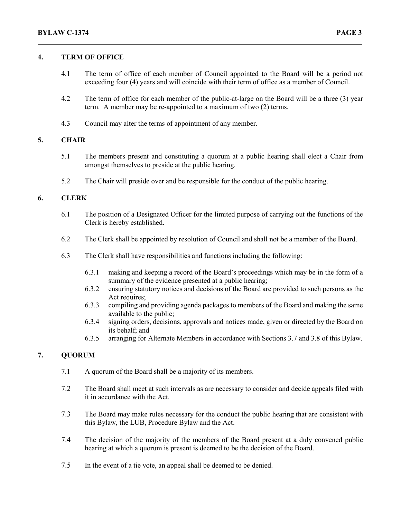### **4. TERM OF OFFICE**

- 4.1 The term of office of each member of Council appointed to the Board will be a period not exceeding four (4) years and will coincide with their term of office as a member of Council.
- 4.2 The term of office for each member of the public-at-large on the Board will be a three (3) year term. A member may be re-appointed to a maximum of two (2) terms.
- 4.3 Council may alter the terms of appointment of any member.

## **5. CHAIR**

- 5.1 The members present and constituting a quorum at a public hearing shall elect a Chair from amongst themselves to preside at the public hearing.
- 5.2 The Chair will preside over and be responsible for the conduct of the public hearing.

# **6. CLERK**

- 6.1 The position of a Designated Officer for the limited purpose of carrying out the functions of the Clerk is hereby established.
- 6.2 The Clerk shall be appointed by resolution of Council and shall not be a member of the Board.
- 6.3 The Clerk shall have responsibilities and functions including the following:
	- 6.3.1 making and keeping a record of the Board's proceedings which may be in the form of a summary of the evidence presented at a public hearing;
	- 6.3.2 ensuring statutory notices and decisions of the Board are provided to such persons as the Act requires;
	- 6.3.3 compiling and providing agenda packages to members of the Board and making the same available to the public;
	- 6.3.4 signing orders, decisions, approvals and notices made, given or directed by the Board on its behalf; and
	- 6.3.5 arranging for Alternate Members in accordance with Sections 3.7 and 3.8 of this Bylaw.

### **7. QUORUM**

- 7.1 A quorum of the Board shall be a majority of its members.
- 7.2 The Board shall meet at such intervals as are necessary to consider and decide appeals filed with it in accordance with the Act.
- 7.3 The Board may make rules necessary for the conduct the public hearing that are consistent with this Bylaw, the LUB, Procedure Bylaw and the Act.
- 7.4 The decision of the majority of the members of the Board present at a duly convened public hearing at which a quorum is present is deemed to be the decision of the Board.
- 7.5 In the event of a tie vote, an appeal shall be deemed to be denied.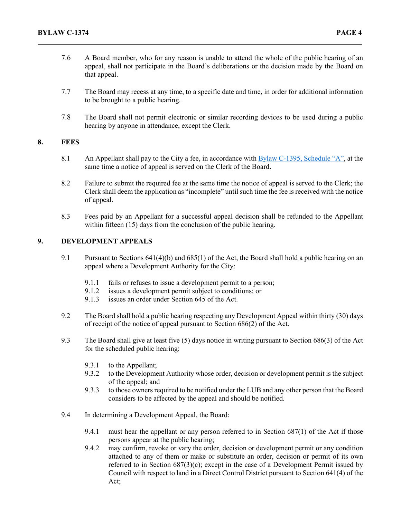- 7.6 A Board member, who for any reason is unable to attend the whole of the public hearing of an appeal, shall not participate in the Board's deliberations or the decision made by the Board on that appeal.
- 7.7 The Board may recess at any time, to a specific date and time, in order for additional information to be brought to a public hearing.
- 7.8 The Board shall not permit electronic or similar recording devices to be used during a public hearing by anyone in attendance, except the Clerk.

### **8. FEES**

- 8.1 An Appellant shall pay to the City a fee, in accordance with [Bylaw C-1395, Schedule "A",](file://file1/Groups/IGS/Legislative%20Services/Bylaws%20and%20Policies%20&%20Procedures/Bylaws/Office%20Consolidations/1300/bc1395%20Office%20Consolidation.pdf) at the same time a notice of appeal is served on the Clerk of the Board.
- 8.2 Failure to submit the required fee at the same time the notice of appeal is served to the Clerk; the Clerk shall deem the application as "incomplete" until such time the fee is received with the notice of appeal.
- 8.3 Fees paid by an Appellant for a successful appeal decision shall be refunded to the Appellant within fifteen (15) days from the conclusion of the public hearing.

# **9. DEVELOPMENT APPEALS**

- 9.1 Pursuant to Sections 641(4)(b) and 685(1) of the Act, the Board shall hold a public hearing on an appeal where a Development Authority for the City:
	- 9.1.1 fails or refuses to issue a development permit to a person;
	- 9.1.2 issues a development permit subject to conditions; or
	- 9.1.3 issues an order under Section 645 of the Act.
- 9.2 The Board shall hold a public hearing respecting any Development Appeal within thirty (30) days of receipt of the notice of appeal pursuant to Section 686(2) of the Act.
- 9.3 The Board shall give at least five (5) days notice in writing pursuant to Section 686(3) of the Act for the scheduled public hearing:
	- 9.3.1 to the Appellant;
	- 9.3.2 to the Development Authority whose order, decision or development permit is the subject of the appeal; and
	- 9.3.3 to those owners required to be notified under the LUB and any other person that the Board considers to be affected by the appeal and should be notified.
- 9.4 In determining a Development Appeal, the Board:
	- 9.4.1 must hear the appellant or any person referred to in Section 687(1) of the Act if those persons appear at the public hearing;
	- 9.4.2 may confirm, revoke or vary the order, decision or development permit or any condition attached to any of them or make or substitute an order, decision or permit of its own referred to in Section 687(3)(c); except in the case of a Development Permit issued by Council with respect to land in a Direct Control District pursuant to Section 641(4) of the Act;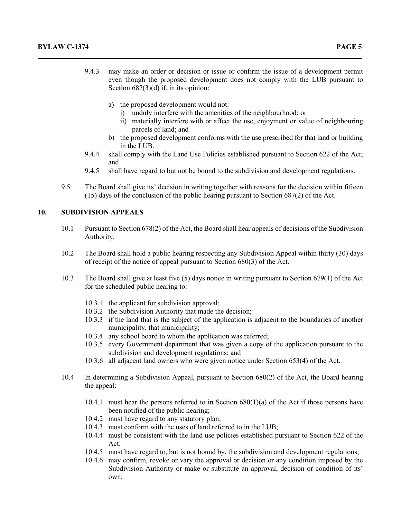- 9.4.3 may make an order or decision or issue or confirm the issue of a development permit even though the proposed development does not comply with the LUB pursuant to Section  $687(3)(d)$  if, in its opinion:
	- a) the proposed development would not:
		- i) unduly interfere with the amenities of the neighbourhood; or
		- ii) materially interfere with or affect the use, enjoyment or value of neighbouring parcels of land; and
	- b) the proposed development conforms with the use prescribed for that land or building in the LUB.
- 9.4.4 shall comply with the Land Use Policies established pursuant to Section 622 of the Act; and
- 9.4.5 shall have regard to but not be bound to the subdivision and development regulations.
- 9.5 The Board shall give its' decision in writing together with reasons for the decision within fifteen (15) days of the conclusion of the public hearing pursuant to Section 687(2) of the Act.

## **10. SUBDIVISION APPEALS**

- 10.1 Pursuant to Section 678(2) of the Act, the Board shall hear appeals of decisions of the Subdivision Authority.
- 10.2 The Board shall hold a public hearing respecting any Subdivision Appeal within thirty (30) days of receipt of the notice of appeal pursuant to Section 680(3) of the Act.
- 10.3 The Board shall give at least five (5) days notice in writing pursuant to Section 679(1) of the Act for the scheduled public hearing to:
	- 10.3.1 the applicant for subdivision approval;
	- 10.3.2 the Subdivision Authority that made the decision;
	- 10.3.3 if the land that is the subject of the application is adjacent to the boundaries of another municipality, that municipality;
	- 10.3.4 any school board to whom the application was referred;
	- 10.3.5 every Government department that was given a copy of the application pursuant to the subdivision and development regulations; and
	- 10.3.6 all adjacent land owners who were given notice under Section 653(4) of the Act.
- 10.4 In determining a Subdivision Appeal, pursuant to Section 680(2) of the Act, the Board hearing the appeal:
	- 10.4.1 must hear the persons referred to in Section  $680(1)(a)$  of the Act if those persons have been notified of the public hearing;
	- 10.4.2 must have regard to any statutory plan;
	- 10.4.3 must conform with the uses of land referred to in the LUB;
	- 10.4.4 must be consistent with the land use policies established pursuant to Section 622 of the Act;
	- 10.4.5 must have regard to, but is not bound by, the subdivision and development regulations;
	- 10.4.6 may confirm, revoke or vary the approval or decision or any condition imposed by the Subdivision Authority or make or substitute an approval, decision or condition of its' own;